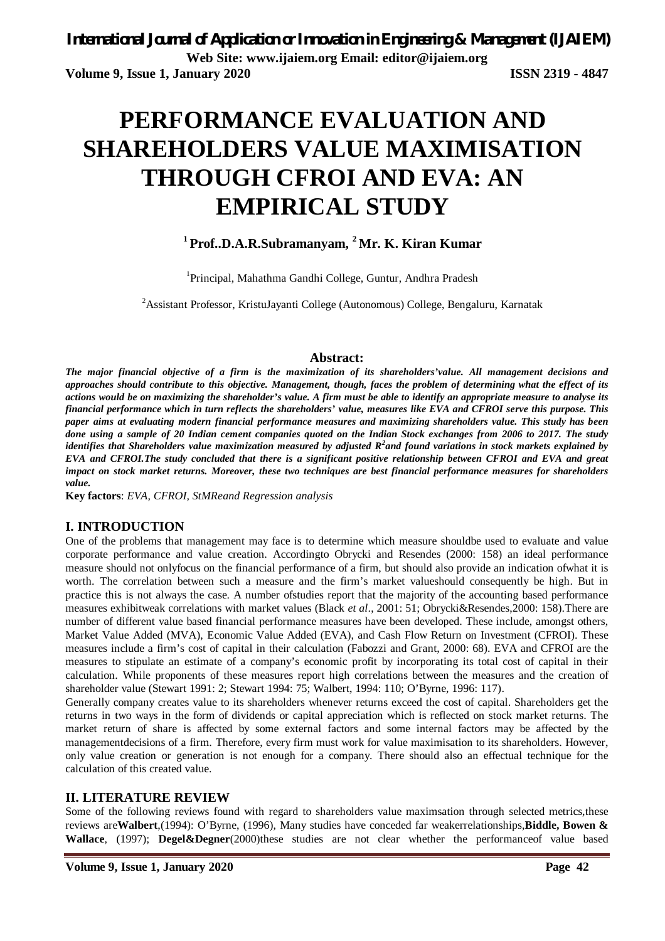# **PERFORMANCE EVALUATION AND SHAREHOLDERS VALUE MAXIMISATION THROUGH CFROI AND EVA: AN EMPIRICAL STUDY**

# **<sup>1</sup>Prof..D.A.R.Subramanyam, <sup>2</sup>Mr. K. Kiran Kumar**

<sup>1</sup>Principal, Mahathma Gandhi College, Guntur, Andhra Pradesh

<sup>2</sup>Assistant Professor, KristuJayanti College (Autonomous) College, Bengaluru, Karnatak

#### **Abstract:**

*The major financial objective of a firm is the maximization of its shareholders'value. All management decisions and approaches should contribute to this objective. Management, though, faces the problem of determining what the effect of its actions would be on maximizing the shareholder's value. A firm must be able to identify an appropriate measure to analyse its financial performance which in turn reflects the shareholders' value, measures like EVA and CFROI serve this purpose. This paper aims at evaluating modern financial performance measures and maximizing shareholders value. This study has been done using a sample of 20 Indian cement companies quoted on the Indian Stock exchanges from 2006 to 2017. The study identifies that Shareholders value maximization measured by adjusted R<sup>2</sup> and found variations in stock markets explained by EVA and CFROI.The study concluded that there is a significant positive relationship between CFROI and EVA and great impact on stock market returns. Moreover, these two techniques are best financial performance measures for shareholders value.* 

**Key factors**: *EVA, CFROI, StMReand Regression analysis*

#### **I. INTRODUCTION**

One of the problems that management may face is to determine which measure shouldbe used to evaluate and value corporate performance and value creation. Accordingto Obrycki and Resendes (2000: 158) an ideal performance measure should not onlyfocus on the financial performance of a firm, but should also provide an indication ofwhat it is worth. The correlation between such a measure and the firm's market valueshould consequently be high. But in practice this is not always the case. A number ofstudies report that the majority of the accounting based performance measures exhibitweak correlations with market values (Black *et al*., 2001: 51; Obrycki&Resendes,2000: 158).There are number of different value based financial performance measures have been developed. These include, amongst others, Market Value Added (MVA), Economic Value Added (EVA), and Cash Flow Return on Investment (CFROI). These measures include a firm's cost of capital in their calculation (Fabozzi and Grant, 2000: 68). EVA and CFROI are the measures to stipulate an estimate of a company's economic profit by incorporating its total cost of capital in their calculation. While proponents of these measures report high correlations between the measures and the creation of shareholder value (Stewart 1991: 2; Stewart 1994: 75; Walbert, 1994: 110; O'Byrne, 1996: 117).

Generally company creates value to its shareholders whenever returns exceed the cost of capital. Shareholders get the returns in two ways in the form of dividends or capital appreciation which is reflected on stock market returns. The market return of share is affected by some external factors and some internal factors may be affected by the managementdecisions of a firm. Therefore, every firm must work for value maximisation to its shareholders. However, only value creation or generation is not enough for a company. There should also an effectual technique for the calculation of this created value.

#### **II. LITERATURE REVIEW**

Some of the following reviews found with regard to shareholders value maximsation through selected metrics,these reviews are**Walbert**,(1994): O'Byrne, (1996), Many studies have conceded far weakerrelationships,**Biddle, Bowen & Wallace**, (1997); **Degel&Degner**(2000)these studies are not clear whether the performanceof value based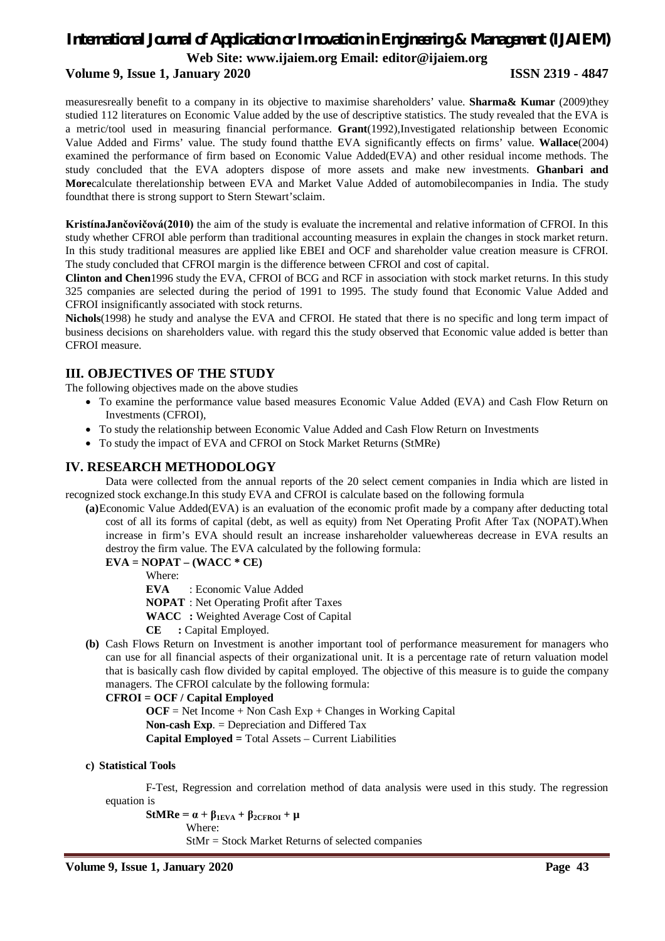# *International Journal of Application or Innovation in Engineering & Management (IJAIEM)* **Web Site: [www.ijaiem.org](http://www.ijaiem.org) Email: [editor@ijaiem.org](mailto:editor@ijaiem.org)**

# **Volume 9, Issue 1, January 2020 ISSN 2319 - 4847**

measuresreally benefit to a company in its objective to maximise shareholders' value. **Sharma& Kumar** (2009)they studied 112 literatures on Economic Value added by the use of descriptive statistics. The study revealed that the EVA is a metric/tool used in measuring financial performance. **Grant**(1992),Investigated relationship between Economic Value Added and Firms' value. The study found thatthe EVA significantly effects on firms' value. **Wallace**(2004) examined the performance of firm based on Economic Value Added(EVA) and other residual income methods. The study concluded that the EVA adopters dispose of more assets and make new investments. **Ghanbari and More**calculate therelationship between EVA and Market Value Added of automobilecompanies in India. The study foundthat there is strong support to Stern Stewart'sclaim.

**KristínaJančovičová(2010)** the aim of the study is evaluate the incremental and relative information of CFROI. In this study whether CFROI able perform than traditional accounting measures in explain the changes in stock market return. In this study traditional measures are applied like EBEI and OCF and shareholder value creation measure is CFROI. The study concluded that CFROI margin is the difference between CFROI and cost of capital.

**Clinton and Chen**1996 study the EVA, CFROI of BCG and RCF in association with stock market returns. In this study 325 companies are selected during the period of 1991 to 1995. The study found that Economic Value Added and CFROI insignificantly associated with stock returns.

**Nichols**(1998) he study and analyse the EVA and CFROI. He stated that there is no specific and long term impact of business decisions on shareholders value. with regard this the study observed that Economic value added is better than CFROI measure.

#### **III. OBJECTIVES OF THE STUDY**

The following objectives made on the above studies

- To examine the performance value based measures Economic Value Added (EVA) and Cash Flow Return on Investments (CFROI),
- To study the relationship between Economic Value Added and Cash Flow Return on Investments
- To study the impact of EVA and CFROI on Stock Market Returns (StMRe)

#### **IV. RESEARCH METHODOLOGY**

Data were collected from the annual reports of the 20 select cement companies in India which are listed in recognized stock exchange.In this study EVA and CFROI is calculate based on the following formula

**(a)**Economic Value Added(EVA) is an evaluation of the economic profit made by a company after deducting total cost of all its forms of capital (debt, as well as equity) from Net Operating Profit After Tax (NOPAT).When increase in firm's EVA should result an increase inshareholder valuewhereas decrease in EVA results an destroy the firm value. The EVA calculated by the following formula:

**EVA = NOPAT – (WACC \* CE)** 

Where:

**EVA** : Economic Value Added

**NOPAT** : Net Operating Profit after Taxes

**WACC :** Weighted Average Cost of Capital

**CE :** Capital Employed.

**(b)** Cash Flows Return on Investment is another important tool of performance measurement for managers who can use for all financial aspects of their organizational unit. It is a percentage rate of return valuation model that is basically cash flow divided by capital employed. The objective of this measure is to guide the company managers. The CFROI calculate by the following formula:

**CFROI = OCF / Capital Employed**

 $OCF = Net Income + Non Cash Exp + Changes in Working Capital$ **Non-cash Exp**. = Depreciation and Differed Tax **Capital Employed =** Total Assets – Current Liabilities

#### **c) Statistical Tools**

F-Test, Regression and correlation method of data analysis were used in this study. The regression equation is

 $StMRe = \alpha + \beta_{1EVA} + \beta_{2CFROI} + \mu$ Where: StMr = Stock Market Returns of selected companies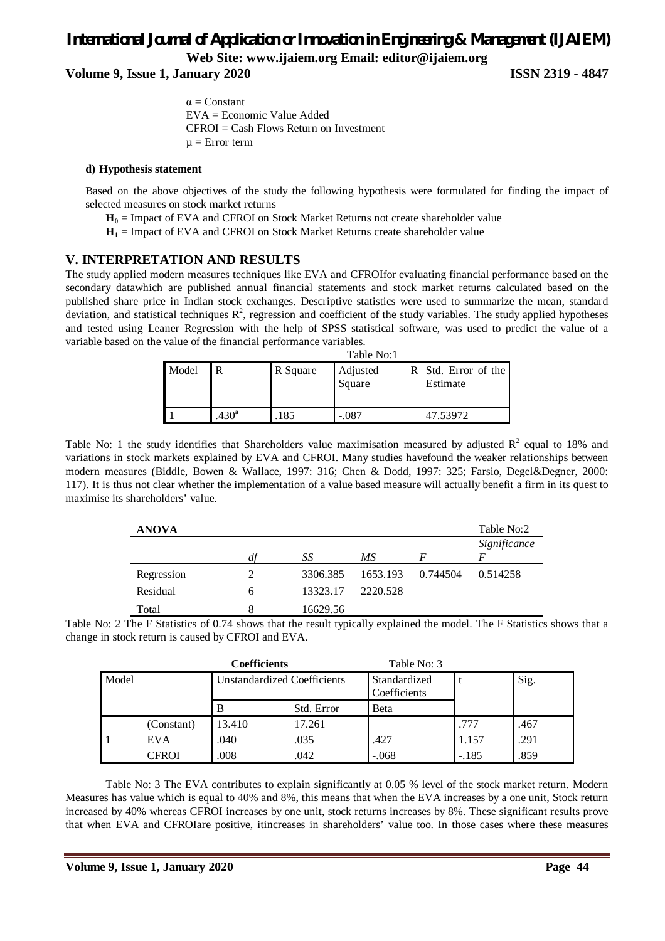# *International Journal of Application or Innovation in Engineering & Management (IJAIEM)* **Web Site: [www.ijaiem.org](http://www.ijaiem.org) Email: [editor@ijaiem.org](mailto:editor@ijaiem.org)**

**Volume 9, Issue 1, January 2020 ISSN 2319 - 4847**

 $\alpha$  = Constant EVA = Economic Value Added CFROI = Cash Flows Return on Investment  $\mu$  = Error term

#### **d) Hypothesis statement**

Based on the above objectives of the study the following hypothesis were formulated for finding the impact of selected measures on stock market returns

**H<sup>0</sup>** = Impact of EVA and CFROI on Stock Market Returns not create shareholder value

 $H_1$  = Impact of EVA and CFROI on Stock Market Returns create shareholder value

#### **V. INTERPRETATION AND RESULTS**

The study applied modern measures techniques like EVA and CFROIfor evaluating financial performance based on the secondary datawhich are published annual financial statements and stock market returns calculated based on the published share price in Indian stock exchanges. Descriptive statistics were used to summarize the mean, standard deviation, and statistical techniques  $\mathbb{R}^2$ , regression and coefficient of the study variables. The study applied hypotheses and tested using Leaner Regression with the help of SPSS statistical software, was used to predict the value of a variable based on the value of the financial performance variables.

|       | Table No:1       |          |          |                       |  |  |  |  |
|-------|------------------|----------|----------|-----------------------|--|--|--|--|
| Model | R                | R Square | Adjusted | $R$ Std. Error of the |  |  |  |  |
|       |                  |          | Square   | Estimate              |  |  |  |  |
|       |                  |          |          |                       |  |  |  |  |
|       | 430 <sup>a</sup> | 185      | -.087    | 47.53972              |  |  |  |  |

Table No: 1 the study identifies that Shareholders value maximisation measured by adjusted  $R^2$  equal to 18% and variations in stock markets explained by EVA and CFROI. Many studies havefound the weaker relationships between modern measures (Biddle, Bowen & Wallace, 1997: 316; Chen & Dodd, 1997: 325; Farsio, Degel&Degner, 2000: 117). It is thus not clear whether the implementation of a value based measure will actually benefit a firm in its quest to maximise its shareholders' value.

| <b>ANOVA</b> |    |          |          |          | Table No:2        |
|--------------|----|----------|----------|----------|-------------------|
|              | df | SS       | МS       |          | Significance<br>F |
| Regression   |    | 3306.385 | 1653.193 | 0.744504 | 0.514258          |
| Residual     | 6  | 13323.17 | 2220.528 |          |                   |
| Total        | 8  | 16629.56 |          |          |                   |

Table No: 2 The F Statistics of 0.74 shows that the result typically explained the model. The F Statistics shows that a change in stock return is caused by CFROI and EVA.

| <b>Coefficients</b> |            |                                    |            | Table No: 3                  |         |      |
|---------------------|------------|------------------------------------|------------|------------------------------|---------|------|
| Model               |            | <b>Unstandardized Coefficients</b> |            | Standardized<br>Coefficients |         | Sig. |
|                     |            | B                                  | Std. Error | <b>Beta</b>                  |         |      |
|                     | (Constant) | 13.410                             | 17.261     |                              | .777    | .467 |
|                     | <b>EVA</b> | .040                               | .035       | .427                         | 1.157   | .291 |
|                     | CFROI      | .008                               | .042       | $-.068$                      | $-.185$ | .859 |

Table No: 3 The EVA contributes to explain significantly at 0.05 % level of the stock market return. Modern Measures has value which is equal to 40% and 8%, this means that when the EVA increases by a one unit, Stock return increased by 40% whereas CFROI increases by one unit, stock returns increases by 8%. These significant results prove that when EVA and CFROIare positive, itincreases in shareholders' value too. In those cases where these measures